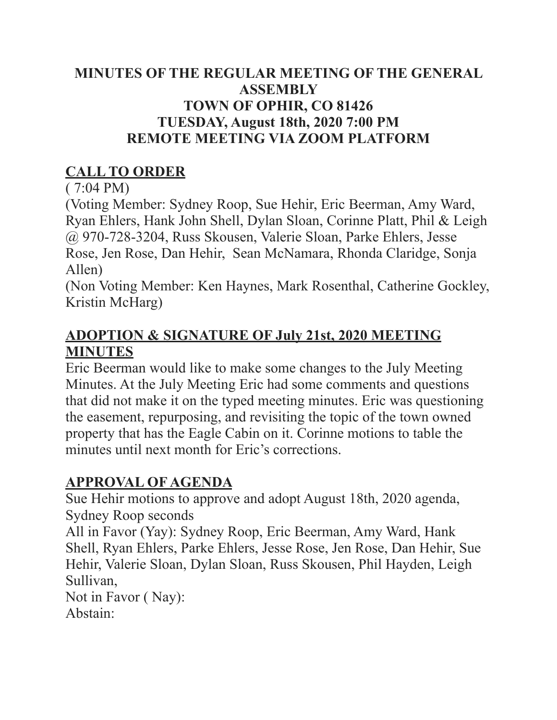## **MINUTES OF THE REGULAR MEETING OF THE GENERAL ASSEMBLY TOWN OF OPHIR, CO 81426 TUESDAY, August 18th, 2020 7:00 PM REMOTE MEETING VIA ZOOM PLATFORM**

## **CALL TO ORDER**

( 7:04 PM)

(Voting Member: Sydney Roop, Sue Hehir, Eric Beerman, Amy Ward, Ryan Ehlers, Hank John Shell, Dylan Sloan, Corinne Platt, Phil & Leigh @ 970-728-3204, Russ Skousen, Valerie Sloan, Parke Ehlers, Jesse Rose, Jen Rose, Dan Hehir, Sean McNamara, Rhonda Claridge, Sonja Allen)

(Non Voting Member: Ken Haynes, Mark Rosenthal, Catherine Gockley, Kristin McHarg)

## **ADOPTION & SIGNATURE OF July 21st, 2020 MEETING MINUTES**

Eric Beerman would like to make some changes to the July Meeting Minutes. At the July Meeting Eric had some comments and questions that did not make it on the typed meeting minutes. Eric was questioning the easement, repurposing, and revisiting the topic of the town owned property that has the Eagle Cabin on it. Corinne motions to table the minutes until next month for Eric's corrections.

## **APPROVAL OF AGENDA**

Sue Hehir motions to approve and adopt August 18th, 2020 agenda, Sydney Roop seconds

All in Favor (Yay): Sydney Roop, Eric Beerman, Amy Ward, Hank Shell, Ryan Ehlers, Parke Ehlers, Jesse Rose, Jen Rose, Dan Hehir, Sue Hehir, Valerie Sloan, Dylan Sloan, Russ Skousen, Phil Hayden, Leigh Sullivan,

Not in Favor ( Nay): Abstain: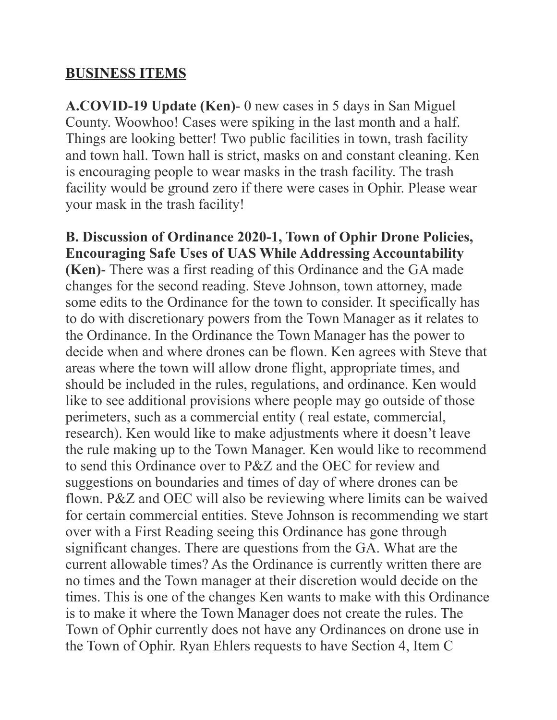#### **BUSINESS ITEMS**

**A.COVID-19 Update (Ken)**- 0 new cases in 5 days in San Miguel County. Woowhoo! Cases were spiking in the last month and a half. Things are looking better! Two public facilities in town, trash facility and town hall. Town hall is strict, masks on and constant cleaning. Ken is encouraging people to wear masks in the trash facility. The trash facility would be ground zero if there were cases in Ophir. Please wear your mask in the trash facility!

**B. Discussion of Ordinance 2020-1, Town of Ophir Drone Policies, Encouraging Safe Uses of UAS While Addressing Accountability (Ken)**- There was a first reading of this Ordinance and the GA made changes for the second reading. Steve Johnson, town attorney, made some edits to the Ordinance for the town to consider. It specifically has to do with discretionary powers from the Town Manager as it relates to the Ordinance. In the Ordinance the Town Manager has the power to decide when and where drones can be flown. Ken agrees with Steve that areas where the town will allow drone flight, appropriate times, and should be included in the rules, regulations, and ordinance. Ken would like to see additional provisions where people may go outside of those perimeters, such as a commercial entity ( real estate, commercial, research). Ken would like to make adjustments where it doesn't leave the rule making up to the Town Manager. Ken would like to recommend to send this Ordinance over to P&Z and the OEC for review and suggestions on boundaries and times of day of where drones can be flown. P&Z and OEC will also be reviewing where limits can be waived for certain commercial entities. Steve Johnson is recommending we start over with a First Reading seeing this Ordinance has gone through significant changes. There are questions from the GA. What are the current allowable times? As the Ordinance is currently written there are no times and the Town manager at their discretion would decide on the times. This is one of the changes Ken wants to make with this Ordinance is to make it where the Town Manager does not create the rules. The Town of Ophir currently does not have any Ordinances on drone use in the Town of Ophir. Ryan Ehlers requests to have Section 4, Item C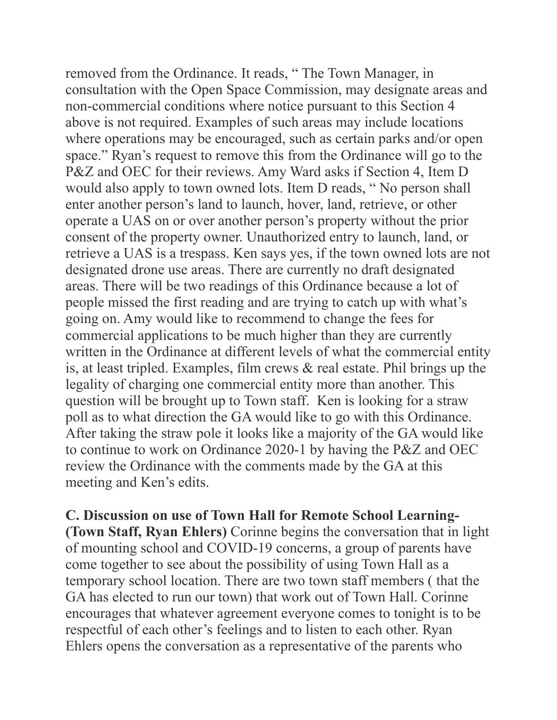removed from the Ordinance. It reads, " The Town Manager, in consultation with the Open Space Commission, may designate areas and non-commercial conditions where notice pursuant to this Section 4 above is not required. Examples of such areas may include locations where operations may be encouraged, such as certain parks and/or open space." Ryan's request to remove this from the Ordinance will go to the P&Z and OEC for their reviews. Amy Ward asks if Section 4, Item D would also apply to town owned lots. Item D reads, " No person shall enter another person's land to launch, hover, land, retrieve, or other operate a UAS on or over another person's property without the prior consent of the property owner. Unauthorized entry to launch, land, or retrieve a UAS is a trespass. Ken says yes, if the town owned lots are not designated drone use areas. There are currently no draft designated areas. There will be two readings of this Ordinance because a lot of people missed the first reading and are trying to catch up with what's going on. Amy would like to recommend to change the fees for commercial applications to be much higher than they are currently written in the Ordinance at different levels of what the commercial entity is, at least tripled. Examples, film crews & real estate. Phil brings up the legality of charging one commercial entity more than another. This question will be brought up to Town staff. Ken is looking for a straw poll as to what direction the GA would like to go with this Ordinance. After taking the straw pole it looks like a majority of the GA would like to continue to work on Ordinance 2020-1 by having the P&Z and OEC review the Ordinance with the comments made by the GA at this meeting and Ken's edits.

**C. Discussion on use of Town Hall for Remote School Learning- (Town Staff, Ryan Ehlers)** Corinne begins the conversation that in light of mounting school and COVID-19 concerns, a group of parents have come together to see about the possibility of using Town Hall as a temporary school location. There are two town staff members ( that the GA has elected to run our town) that work out of Town Hall. Corinne encourages that whatever agreement everyone comes to tonight is to be respectful of each other's feelings and to listen to each other. Ryan Ehlers opens the conversation as a representative of the parents who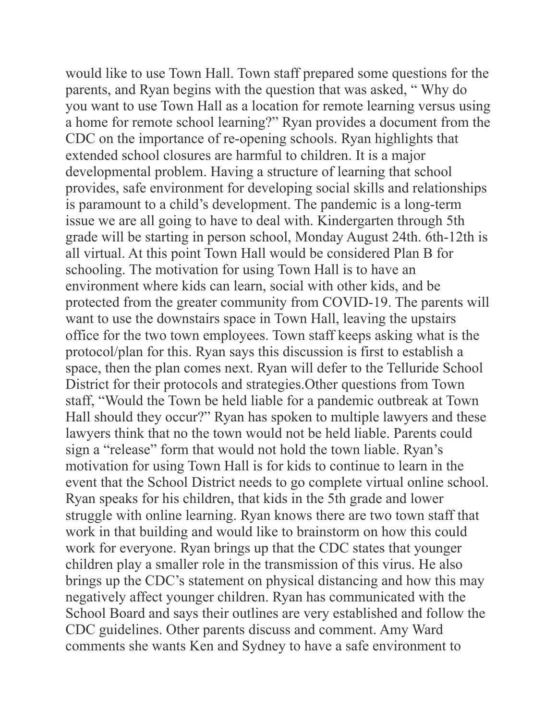would like to use Town Hall. Town staff prepared some questions for the parents, and Ryan begins with the question that was asked, " Why do you want to use Town Hall as a location for remote learning versus using a home for remote school learning?" Ryan provides a document from the CDC on the importance of re-opening schools. Ryan highlights that extended school closures are harmful to children. It is a major developmental problem. Having a structure of learning that school provides, safe environment for developing social skills and relationships is paramount to a child's development. The pandemic is a long-term issue we are all going to have to deal with. Kindergarten through 5th grade will be starting in person school, Monday August 24th. 6th-12th is all virtual. At this point Town Hall would be considered Plan B for schooling. The motivation for using Town Hall is to have an environment where kids can learn, social with other kids, and be protected from the greater community from COVID-19. The parents will want to use the downstairs space in Town Hall, leaving the upstairs office for the two town employees. Town staff keeps asking what is the protocol/plan for this. Ryan says this discussion is first to establish a space, then the plan comes next. Ryan will defer to the Telluride School District for their protocols and strategies.Other questions from Town staff, "Would the Town be held liable for a pandemic outbreak at Town Hall should they occur?" Ryan has spoken to multiple lawyers and these lawyers think that no the town would not be held liable. Parents could sign a "release" form that would not hold the town liable. Ryan's motivation for using Town Hall is for kids to continue to learn in the event that the School District needs to go complete virtual online school. Ryan speaks for his children, that kids in the 5th grade and lower struggle with online learning. Ryan knows there are two town staff that work in that building and would like to brainstorm on how this could work for everyone. Ryan brings up that the CDC states that younger children play a smaller role in the transmission of this virus. He also brings up the CDC's statement on physical distancing and how this may negatively affect younger children. Ryan has communicated with the School Board and says their outlines are very established and follow the CDC guidelines. Other parents discuss and comment. Amy Ward comments she wants Ken and Sydney to have a safe environment to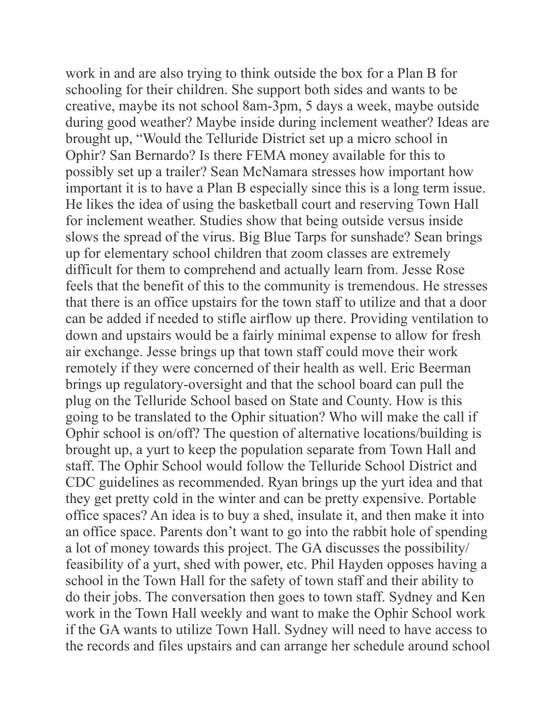work in and are also trying to think outside the box for a Plan B for schooling for their children. She support both sides and wants to be creative, maybe its not school 8am-3pm, 5 days a week, maybe outside during good weather? Maybe inside during inclement weather? Ideas are brought up, "Would the Telluride District set up a micro school in Ophir? San Bernardo? Is there FEMA money available for this to possibly set up a trailer? Sean McNamara stresses how important how important it is to have a Plan B especially since this is a long term issue. He likes the idea of using the basketball court and reserving Town Hall for inclement weather. Studies show that being outside versus inside slows the spread of the virus. Big Blue Tarps for sunshade? Sean brings up for elementary school children that zoom classes are extremely difficult for them to comprehend and actually learn from. Jesse Rose feels that the benefit of this to the community is tremendous. He stresses that there is an office upstairs for the town staff to utilize and that a door can be added if needed to stifle airflow up there. Providing ventilation to down and upstairs would be a fairly minimal expense to allow for fresh air exchange. Jesse brings up that town staff could move their work remotely if they were concerned of their health as well. Eric Beerman brings up regulatory-oversight and that the school board can pull the plug on the Telluride School based on State and County. How is this going to be translated to the Ophir situation? Who will make the call if Ophir school is on/off? The question of alternative locations/building is brought up, a yurt to keep the population separate from Town Hall and staff. The Ophir School would follow the Telluride School District and CDC guidelines as recommended. Ryan brings up the yurt idea and that they get pretty cold in the winter and can be pretty expensive. Portable office spaces? An idea is to buy a shed, insulate it, and then make it into an office space. Parents don't want to go into the rabbit hole of spending a lot of money towards this project. The GA discusses the possibility/ feasibility of a yurt, shed with power, etc. Phil Hayden opposes having a school in the Town Hall for the safety of town staff and their ability to do their jobs. The conversation then goes to town staff. Sydney and Ken work in the Town Hall weekly and want to make the Ophir School work if the GA wants to utilize Town Hall. Sydney will need to have access to the records and files upstairs and can arrange her schedule around school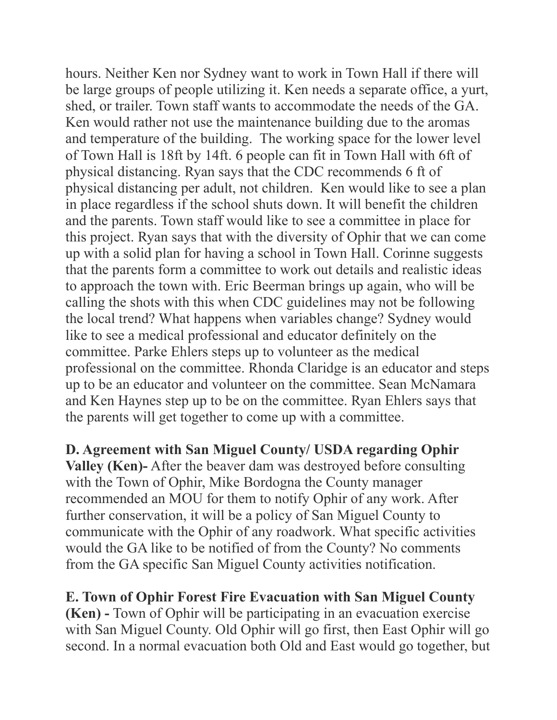hours. Neither Ken nor Sydney want to work in Town Hall if there will be large groups of people utilizing it. Ken needs a separate office, a yurt, shed, or trailer. Town staff wants to accommodate the needs of the GA. Ken would rather not use the maintenance building due to the aromas and temperature of the building. The working space for the lower level of Town Hall is 18ft by 14ft. 6 people can fit in Town Hall with 6ft of physical distancing. Ryan says that the CDC recommends 6 ft of physical distancing per adult, not children. Ken would like to see a plan in place regardless if the school shuts down. It will benefit the children and the parents. Town staff would like to see a committee in place for this project. Ryan says that with the diversity of Ophir that we can come up with a solid plan for having a school in Town Hall. Corinne suggests that the parents form a committee to work out details and realistic ideas to approach the town with. Eric Beerman brings up again, who will be calling the shots with this when CDC guidelines may not be following the local trend? What happens when variables change? Sydney would like to see a medical professional and educator definitely on the committee. Parke Ehlers steps up to volunteer as the medical professional on the committee. Rhonda Claridge is an educator and steps up to be an educator and volunteer on the committee. Sean McNamara and Ken Haynes step up to be on the committee. Ryan Ehlers says that the parents will get together to come up with a committee.

**D. Agreement with San Miguel County/ USDA regarding Ophir Valley (Ken)-** After the beaver dam was destroyed before consulting with the Town of Ophir, Mike Bordogna the County manager recommended an MOU for them to notify Ophir of any work. After further conservation, it will be a policy of San Miguel County to communicate with the Ophir of any roadwork. What specific activities would the GA like to be notified of from the County? No comments from the GA specific San Miguel County activities notification.

**E. Town of Ophir Forest Fire Evacuation with San Miguel County (Ken) -** Town of Ophir will be participating in an evacuation exercise with San Miguel County. Old Ophir will go first, then East Ophir will go second. In a normal evacuation both Old and East would go together, but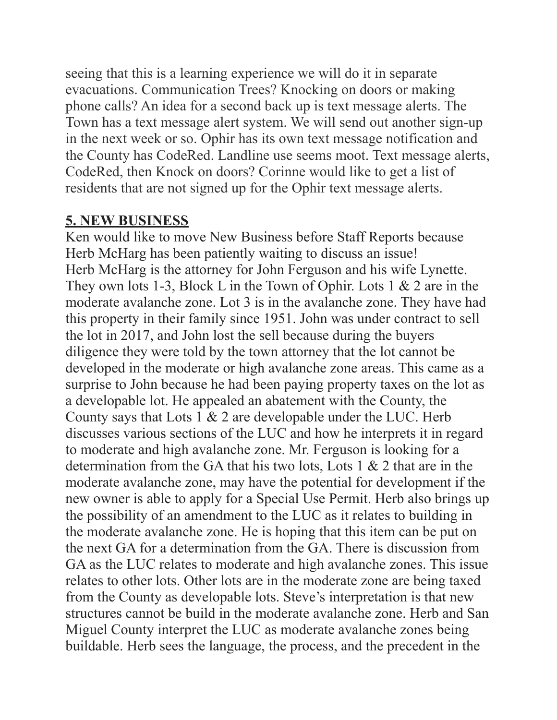seeing that this is a learning experience we will do it in separate evacuations. Communication Trees? Knocking on doors or making phone calls? An idea for a second back up is text message alerts. The Town has a text message alert system. We will send out another sign-up in the next week or so. Ophir has its own text message notification and the County has CodeRed. Landline use seems moot. Text message alerts, CodeRed, then Knock on doors? Corinne would like to get a list of residents that are not signed up for the Ophir text message alerts.

## **5. NEW BUSINESS**

Ken would like to move New Business before Staff Reports because Herb McHarg has been patiently waiting to discuss an issue! Herb McHarg is the attorney for John Ferguson and his wife Lynette. They own lots 1-3, Block L in the Town of Ophir. Lots 1 & 2 are in the moderate avalanche zone. Lot 3 is in the avalanche zone. They have had this property in their family since 1951. John was under contract to sell the lot in 2017, and John lost the sell because during the buyers diligence they were told by the town attorney that the lot cannot be developed in the moderate or high avalanche zone areas. This came as a surprise to John because he had been paying property taxes on the lot as a developable lot. He appealed an abatement with the County, the County says that Lots 1 & 2 are developable under the LUC. Herb discusses various sections of the LUC and how he interprets it in regard to moderate and high avalanche zone. Mr. Ferguson is looking for a determination from the GA that his two lots, Lots 1 & 2 that are in the moderate avalanche zone, may have the potential for development if the new owner is able to apply for a Special Use Permit. Herb also brings up the possibility of an amendment to the LUC as it relates to building in the moderate avalanche zone. He is hoping that this item can be put on the next GA for a determination from the GA. There is discussion from GA as the LUC relates to moderate and high avalanche zones. This issue relates to other lots. Other lots are in the moderate zone are being taxed from the County as developable lots. Steve's interpretation is that new structures cannot be build in the moderate avalanche zone. Herb and San Miguel County interpret the LUC as moderate avalanche zones being buildable. Herb sees the language, the process, and the precedent in the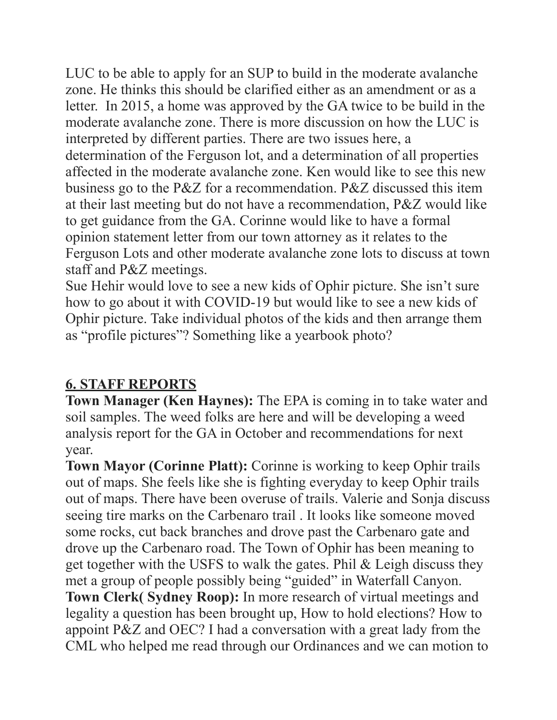LUC to be able to apply for an SUP to build in the moderate avalanche zone. He thinks this should be clarified either as an amendment or as a letter. In 2015, a home was approved by the GA twice to be build in the moderate avalanche zone. There is more discussion on how the LUC is interpreted by different parties. There are two issues here, a determination of the Ferguson lot, and a determination of all properties affected in the moderate avalanche zone. Ken would like to see this new business go to the P&Z for a recommendation. P&Z discussed this item at their last meeting but do not have a recommendation, P&Z would like to get guidance from the GA. Corinne would like to have a formal opinion statement letter from our town attorney as it relates to the Ferguson Lots and other moderate avalanche zone lots to discuss at town staff and P&Z meetings.

Sue Hehir would love to see a new kids of Ophir picture. She isn't sure how to go about it with COVID-19 but would like to see a new kids of Ophir picture. Take individual photos of the kids and then arrange them as "profile pictures"? Something like a yearbook photo?

# **6. STAFF REPORTS**

**Town Manager (Ken Haynes):** The EPA is coming in to take water and soil samples. The weed folks are here and will be developing a weed analysis report for the GA in October and recommendations for next year.

**Town Mayor (Corinne Platt):** Corinne is working to keep Ophir trails out of maps. She feels like she is fighting everyday to keep Ophir trails out of maps. There have been overuse of trails. Valerie and Sonja discuss seeing tire marks on the Carbenaro trail . It looks like someone moved some rocks, cut back branches and drove past the Carbenaro gate and drove up the Carbenaro road. The Town of Ophir has been meaning to get together with the USFS to walk the gates. Phil & Leigh discuss they met a group of people possibly being "guided" in Waterfall Canyon. **Town Clerk( Sydney Roop):** In more research of virtual meetings and legality a question has been brought up, How to hold elections? How to appoint P&Z and OEC? I had a conversation with a great lady from the CML who helped me read through our Ordinances and we can motion to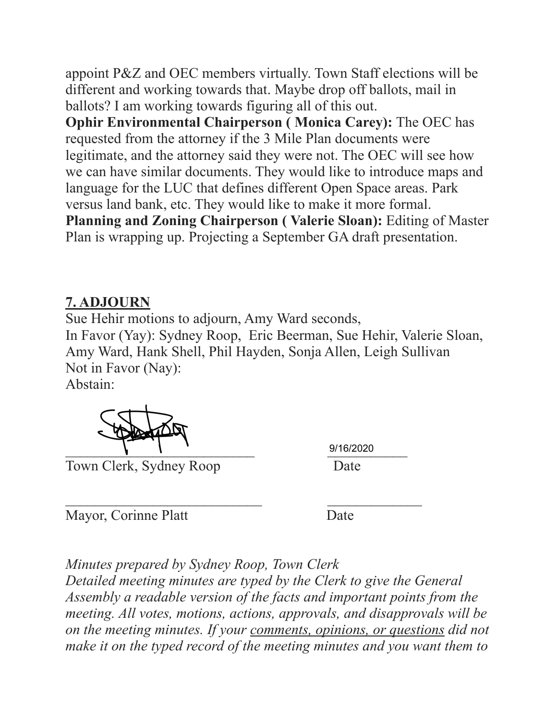appoint P&Z and OEC members virtually. Town Staff elections will be different and working towards that. Maybe drop off ballots, mail in ballots? I am working towards figuring all of this out.

**Ophir Environmental Chairperson ( Monica Carey):** The OEC has requested from the attorney if the 3 Mile Plan documents were legitimate, and the attorney said they were not. The OEC will see how we can have similar documents. They would like to introduce maps and language for the LUC that defines different Open Space areas. Park versus land bank, etc. They would like to make it more formal. **Planning and Zoning Chairperson ( Valerie Sloan):** Editing of Master Plan is wrapping up. Projecting a September GA draft presentation.

## **7. ADJOURN**

Sue Hehir motions to adjourn, Amy Ward seconds, In Favor (Yay): Sydney Roop, Eric Beerman, Sue Hehir, Valerie Sloan, Amy Ward, Hank Shell, Phil Hayden, Sonja Allen, Leigh Sullivan Not in Favor (Nay):

Abstain:

Town Clerk, Sydney Roop Date

 $\sqrt{2/16/2020}$ 9/16/2020

Mayor, Corinne Platt Date

 $\mathcal{L}_\text{max}$  , and the contract of the contract of the contract of the contract of the contract of the contract of the contract of the contract of the contract of the contract of the contract of the contract of the contr

*Minutes prepared by Sydney Roop, Town Clerk Detailed meeting minutes are typed by the Clerk to give the General Assembly a readable version of the facts and important points from the meeting. All votes, motions, actions, approvals, and disapprovals will be on the meeting minutes. If your comments, opinions, or questions did not make it on the typed record of the meeting minutes and you want them to*